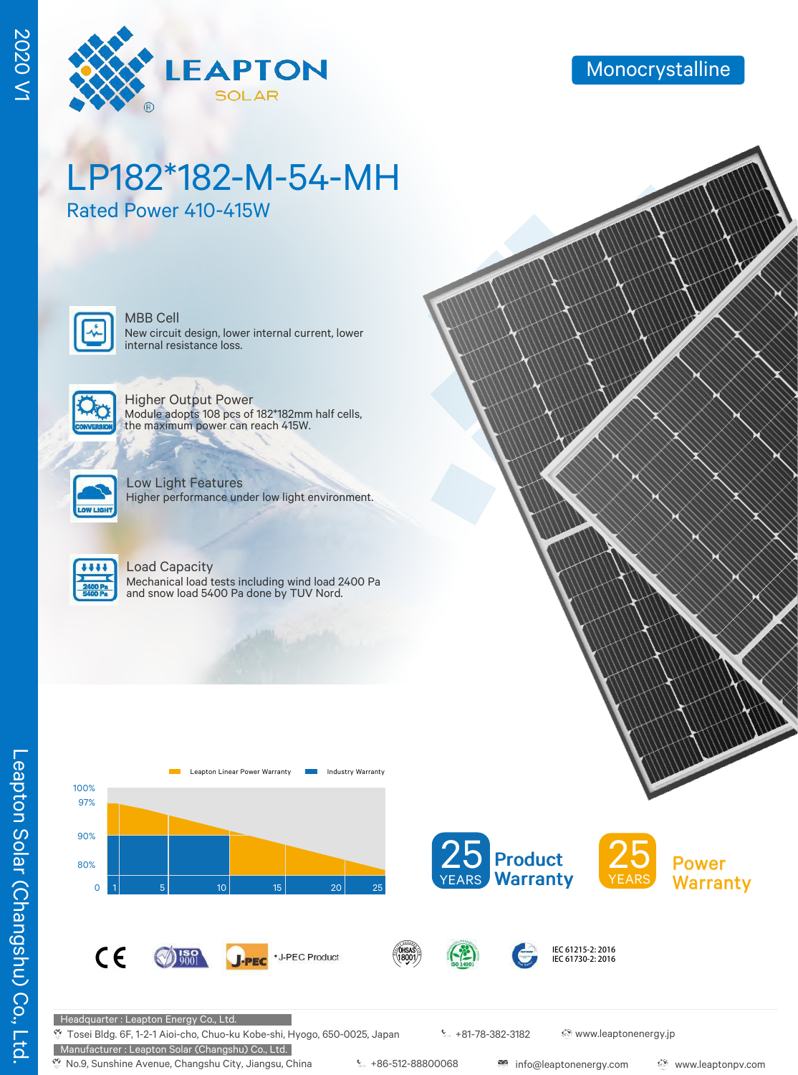

# LP182\*182-M-54-MH

Rated Power 410-415W



New circuit design, lower internal current, lower internal resistance loss. MBB Cell



Higher Output Power Module adopts 108 pcs of 182\*182mm half cells, the maximum power can reach 415W.



Low Light Features Higher performance under low light environment.



#### Load Capacity

Mechanical load tests including wind load 2400 Pa and snow load 5400 Pa done by TUV Nord.



**J-PEC** 

\*J-PEC Product





Headquarter : Leapton Energy Co., Ltd.

 $C \in$ 

 $\%$  Tosei Bldg. 6F, 1-2-1 Aioi-cho, Chuo-ku Kobe-shi, Hyogo, 650-0025, Japan

Manufacturer : Leapton Solar (Changshu) Co., Ltd.

 $\bigotimes_{9001}$ 

+81-78-382-3182 www.leaptonenergy.jp

IEC 61215-2: 2016 IEC 61730-2: 2016